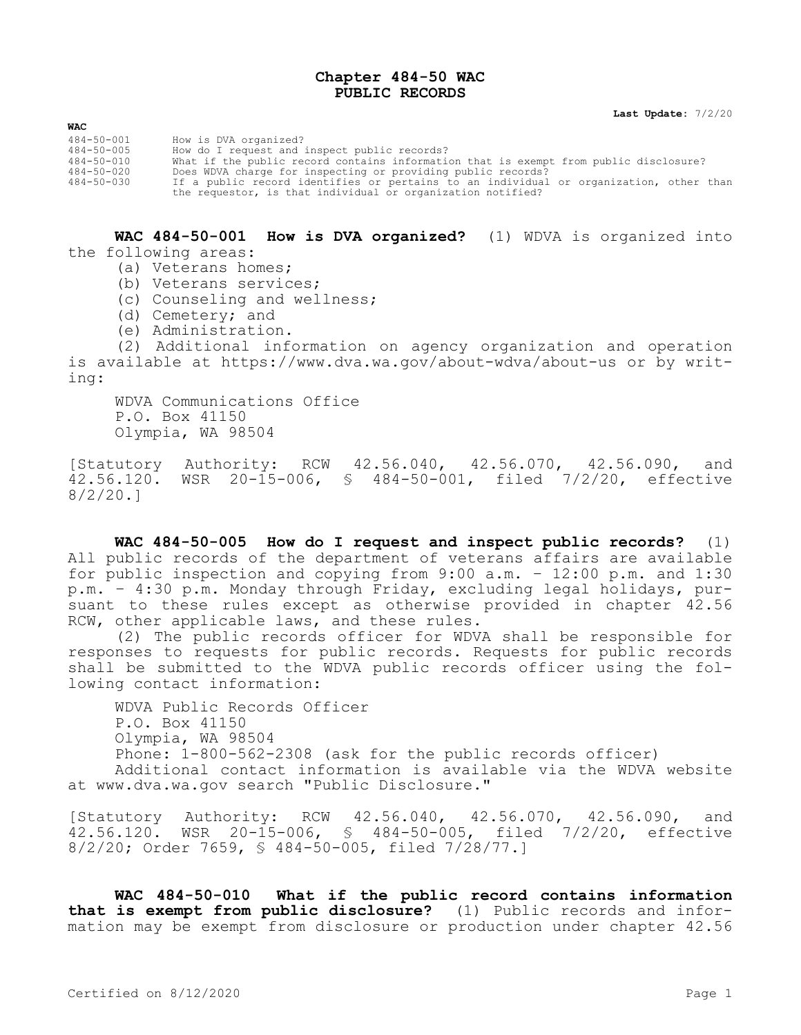## **Chapter 484-50 WAC PUBLIC RECORDS**

**Last Update:** 7/2/20

| How is DVA organized?                                                                  |
|----------------------------------------------------------------------------------------|
| How do I request and inspect public records?                                           |
| What if the public record contains information that is exempt from public disclosure?  |
| Does WDVA charge for inspecting or providing public records?                           |
| If a public record identifies or pertains to an individual or organization, other than |
| the requestor, is that individual or organization notified?                            |
|                                                                                        |

**WAC 484-50-001 How is DVA organized?** (1) WDVA is organized into the following areas:

- (a) Veterans homes;
- (b) Veterans services;
- (c) Counseling and wellness;
- (d) Cemetery; and

**WAC**

(e) Administration.

(2) Additional information on agency organization and operation is available at https://www.dva.wa.gov/about-wdva/about-us or by writing:

WDVA Communications Office P.O. Box 41150 Olympia, WA 98504

[Statutory Authority: RCW 42.56.040, 42.56.070, 42.56.090, and 42.56.120. WSR 20-15-006, § 484-50-001, filed 7/2/20, effective 8/2/20.]

**WAC 484-50-005 How do I request and inspect public records?** (1) All public records of the department of veterans affairs are available for public inspection and copying from 9:00 a.m. – 12:00 p.m. and 1:30 p.m. – 4:30 p.m. Monday through Friday, excluding legal holidays, pursuant to these rules except as otherwise provided in chapter 42.56 RCW, other applicable laws, and these rules.

(2) The public records officer for WDVA shall be responsible for responses to requests for public records. Requests for public records shall be submitted to the WDVA public records officer using the following contact information:

WDVA Public Records Officer P.O. Box 41150 Olympia, WA 98504 Phone: 1-800-562-2308 (ask for the public records officer) Additional contact information is available via the WDVA website at www.dva.wa.gov search "Public Disclosure."

[Statutory Authority: RCW 42.56.040, 42.56.070, 42.56.090, and 42.56.120. WSR 20-15-006, § 484-50-005, filed 7/2/20, effective 8/2/20; Order 7659, § 484-50-005, filed 7/28/77.]

**WAC 484-50-010 What if the public record contains information that is exempt from public disclosure?** (1) Public records and information may be exempt from disclosure or production under chapter 42.56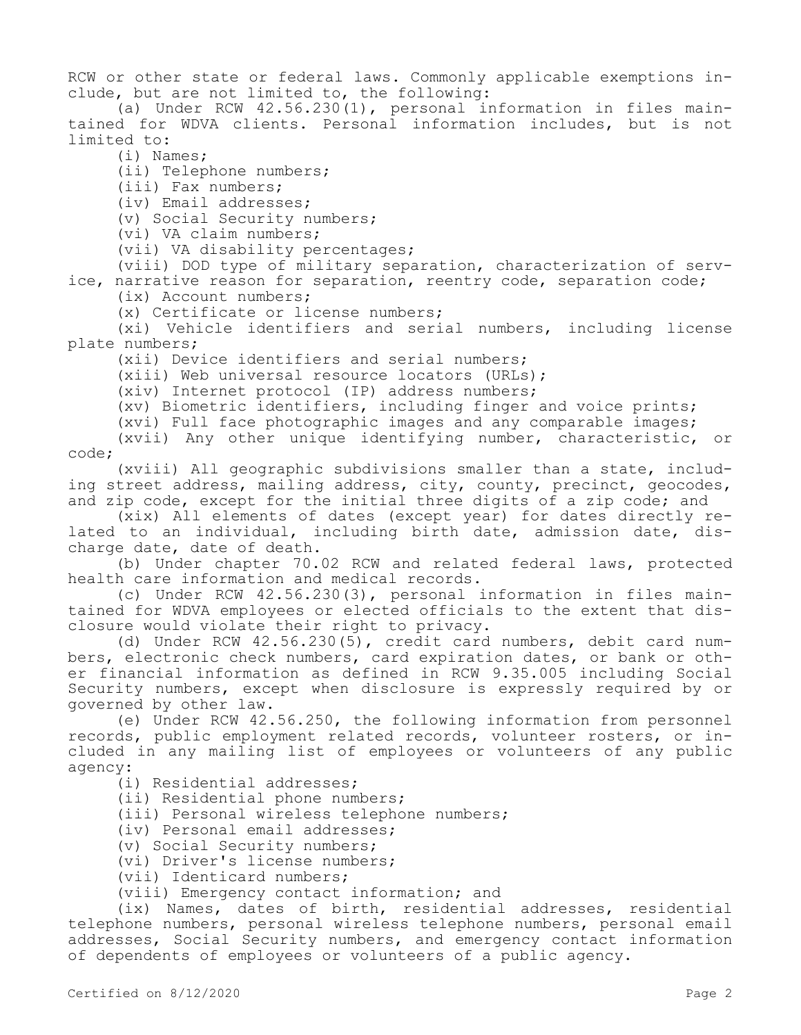RCW or other state or federal laws. Commonly applicable exemptions include, but are not limited to, the following:

(a) Under RCW 42.56.230(1), personal information in files maintained for WDVA clients. Personal information includes, but is not limited to:

(i) Names;

(ii) Telephone numbers;

(iii) Fax numbers;

(iv) Email addresses;

(v) Social Security numbers;

(vi) VA claim numbers;

(vii) VA disability percentages;

(viii) DOD type of military separation, characterization of service, narrative reason for separation, reentry code, separation code;

(ix) Account numbers;

(x) Certificate or license numbers;

(xi) Vehicle identifiers and serial numbers, including license plate numbers;

(xii) Device identifiers and serial numbers;

(xiii) Web universal resource locators (URLs);

(xiv) Internet protocol (IP) address numbers;

(xv) Biometric identifiers, including finger and voice prints;

(xvi) Full face photographic images and any comparable images;

(xvii) Any other unique identifying number, characteristic, or code;

(xviii) All geographic subdivisions smaller than a state, including street address, mailing address, city, county, precinct, geocodes, and zip code, except for the initial three digits of a zip code; and

(xix) All elements of dates (except year) for dates directly related to an individual, including birth date, admission date, discharge date, date of death.

(b) Under chapter 70.02 RCW and related federal laws, protected health care information and medical records.

(c) Under RCW 42.56.230(3), personal information in files maintained for WDVA employees or elected officials to the extent that disclosure would violate their right to privacy.

(d) Under RCW 42.56.230(5), credit card numbers, debit card numbers, electronic check numbers, card expiration dates, or bank or other financial information as defined in RCW 9.35.005 including Social Security numbers, except when disclosure is expressly required by or governed by other law.

(e) Under RCW 42.56.250, the following information from personnel records, public employment related records, volunteer rosters, or included in any mailing list of employees or volunteers of any public agency:

(i) Residential addresses;

(ii) Residential phone numbers;

(iii) Personal wireless telephone numbers;

(iv) Personal email addresses;

(v) Social Security numbers;

(vi) Driver's license numbers;

(vii) Identicard numbers;

(viii) Emergency contact information; and

(ix) Names, dates of birth, residential addresses, residential telephone numbers, personal wireless telephone numbers, personal email addresses, Social Security numbers, and emergency contact information of dependents of employees or volunteers of a public agency.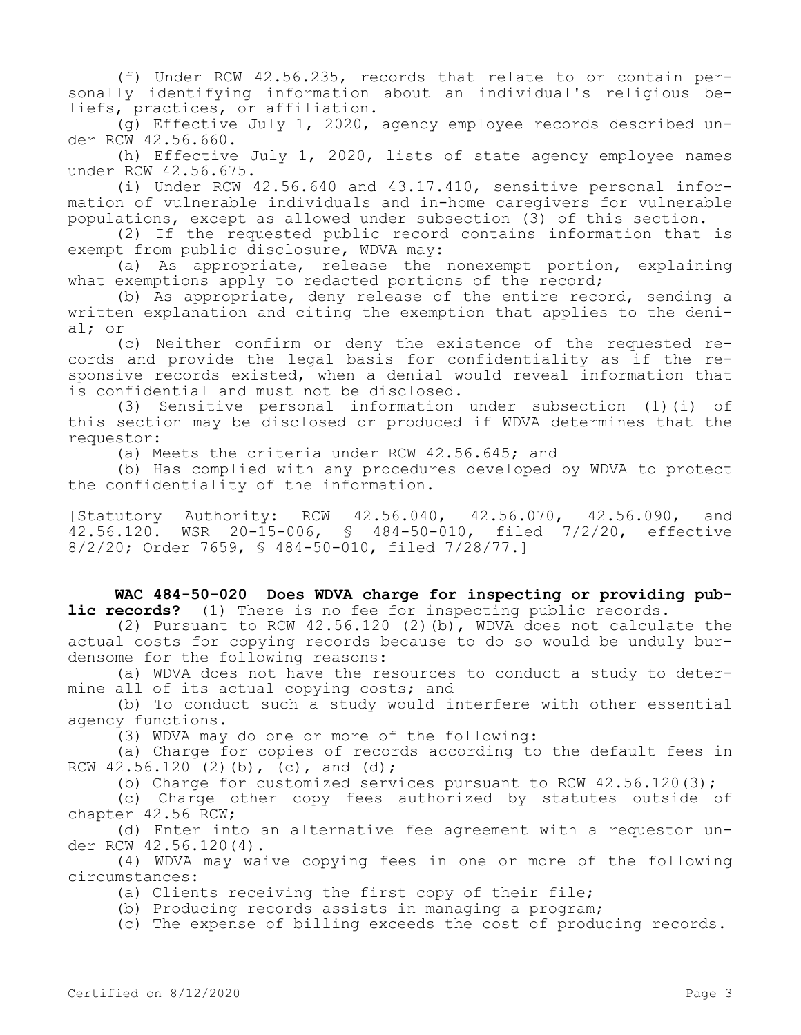(f) Under RCW 42.56.235, records that relate to or contain personally identifying information about an individual's religious beliefs, practices, or affiliation.

(g) Effective July 1, 2020, agency employee records described under RCW 42.56.660.

(h) Effective July 1, 2020, lists of state agency employee names under RCW 42.56.675.

(i) Under RCW 42.56.640 and 43.17.410, sensitive personal information of vulnerable individuals and in-home caregivers for vulnerable populations, except as allowed under subsection (3) of this section.

(2) If the requested public record contains information that is exempt from public disclosure, WDVA may:

(a) As appropriate, release the nonexempt portion, explaining what exemptions apply to redacted portions of the record;

(b) As appropriate, deny release of the entire record, sending a written explanation and citing the exemption that applies to the denial; or

(c) Neither confirm or deny the existence of the requested records and provide the legal basis for confidentiality as if the responsive records existed, when a denial would reveal information that is confidential and must not be disclosed.

(3) Sensitive personal information under subsection (1)(i) of this section may be disclosed or produced if WDVA determines that the requestor:

(a) Meets the criteria under RCW 42.56.645; and

(b) Has complied with any procedures developed by WDVA to protect the confidentiality of the information.

[Statutory Authority: RCW 42.56.040, 42.56.070, 42.56.090, and 42.56.120. WSR 20-15-006, § 484-50-010, filed 7/2/20, effective 8/2/20; Order 7659, § 484-50-010, filed 7/28/77.]

**WAC 484-50-020 Does WDVA charge for inspecting or providing public records?** (1) There is no fee for inspecting public records.

(2) Pursuant to RCW  $42.56.120$  (2)(b), WDVA does not calculate the actual costs for copying records because to do so would be unduly burdensome for the following reasons:

(a) WDVA does not have the resources to conduct a study to determine all of its actual copying costs; and

(b) To conduct such a study would interfere with other essential agency functions.

(3) WDVA may do one or more of the following:

(a) Charge for copies of records according to the default fees in RCW  $42.56.120$  (2)(b), (c), and (d);

(b) Charge for customized services pursuant to RCW  $42.56.120(3)$ ;

(c) Charge other copy fees authorized by statutes outside of chapter 42.56 RCW;

(d) Enter into an alternative fee agreement with a requestor under RCW 42.56.120(4).

(4) WDVA may waive copying fees in one or more of the following circumstances:

(a) Clients receiving the first copy of their file;

(b) Producing records assists in managing a program;

(c) The expense of billing exceeds the cost of producing records.